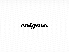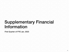## Supplementary Financial Information

First Quarter of FYE Jan. 2023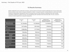#### 1Q Results Summary

Fashion-related EC & luxury market did not improve, and the external environment remained challenging due to the yen being weak. We have started to take a series of measures essential for medium- to long-term growth, including measures to entice back inactive members by utilizing data, expanding the scope of concierge services for loyal customers, expanding tie-ups with overseas corporations, adding tie-up delivery services, and strengthening other operations that will promote sales. As such, we plan to continue to invest in growth from a long-term perspective.

|                                                       | FYE 2023/1<br>Q <sub>1</sub> | <b>FYE 2022/1</b><br>Q <sub>1</sub> | (Reference Info.)<br><b>Applying New Accounting</b><br>Standards FYE 2022/1Q1 | (Reference Info.)<br><b>Applying New Accounting</b><br><b>Standards YoY</b> |
|-------------------------------------------------------|------------------------------|-------------------------------------|-------------------------------------------------------------------------------|-----------------------------------------------------------------------------|
| <b>GMV*Includes fees for</b><br>settlement of payment | 15,170million                | 16,128million                       | 16,128million                                                                 | 94%                                                                         |
| <b>Sales</b>                                          | 1,671 million                | 1,831 million                       | 1,788million                                                                  | 94%                                                                         |
| <b>Gross Profit</b>                                   | 1,338million                 | 1,477 million                       | 1,434 million                                                                 | 93%                                                                         |
| <b>SGA</b>                                            | 794million                   | 766million                          | 725million                                                                    | 110%                                                                        |
| <b>Advertising</b><br>expenses                        | 299million                   | 309million                          | 261million                                                                    | 115%                                                                        |
| personal<br>expenses                                  | 350million                   | 316million                          | 316million                                                                    | 111%                                                                        |
| <b>Operating income</b>                               | 544million                   | 710million                          | 716million                                                                    | 76%                                                                         |
| <b>Ordinary income</b>                                | 545million                   | 713million                          | 719million                                                                    | 76%                                                                         |
| Net proft                                             | 381 million                  | 495million                          | 498million                                                                    | 77%                                                                         |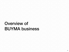# Overview of BUYMA business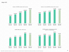#### Major KPI



**BUYMA GMV (Unit: million yen) EUYMA** number of transactions handled **(Unit: no. of transactions)**



(Note) GMV: Includes fees for settlement of payment, etc.; active members: Number of members who have made one purchase or more within the past year (Net and Conternation of the Dash of Ann Ann Ann Ann Ann Ann Ann Ann Ann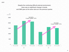Despite the continuing difficult external environment, there was no significant change in trends, and GMV grew at the same rate as in the previous quarter.

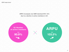ARPU increased, but GMV declined 94% YoY, due to a decline in active members in Q1.

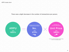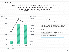#### GLOBAL BUYMA

### GMV declined slightly by 92% YoY due to a decrease in sessions caused by a problem with ad placement on Google and the failure of key products to rank higher on the BUYMA product search results page.

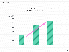Life style category

### Outdoor and travel-related products performed well, up 119% YoY (2-year CAGR 156%)

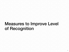## Measures to Improve Level of Recognition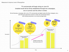TV commercials will begin airing on June 24. Unaided recall will be firmly established through two campaigns, one in summer and the other in winter.

We will develop a campaign with a mix of TV commercials and digital media (YouTube, Instagram, etc.), and will secure placement volume in winter, the commercial season, while raising awareness on an annual average basis

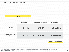Aim to gain recognition of 9.1 million people through biannual campaigns.



\*1 Our calculations based on the "Ministry of Internal Affairs and Communications 2020 Telecommunications Usage Trends Survey" and the "Digital Agency: Japan's Digital Degree 2021" (for people aged 15-64)

\*2 Our planned figures based on our own survey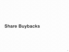# Share Buybacks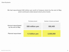#### We had repurchased 328 million yen worth of treasury stock by the end of May amid continued undervalued stock price levels.

|                                                | <b>Purchase amount</b> | Number of shares purchased |
|------------------------------------------------|------------------------|----------------------------|
| <b>Amount repurchased</b><br>by the end of May | 328 million yen        | 592,400                    |
| Planned repurchase*                            | 1.5 billion yen        | 2,500,000                  |